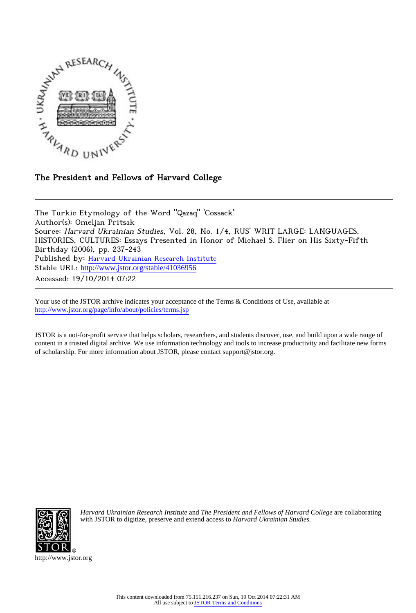

## The President and Fellows of Harvard College

The Turkic Etymology of the Word "Qazaq" 'Cossack' Author(s): Omeljan Pritsak Source: Harvard Ukrainian Studies, Vol. 28, No. 1/4, RUS' WRIT LARGE: LANGUAGES, HISTORIES, CULTURES: Essays Presented in Honor of Michael S. Flier on His Sixty-Fifth Birthday (2006), pp. 237-243 Published by: [Harvard Ukrainian Research Institute](http://www.jstor.org/action/showPublisher?publisherCode=huri) Stable URL: http://www.jstor.org/stable/41036956 Accessed: 19/10/2014 07:22

Your use of the JSTOR archive indicates your acceptance of the Terms & Conditions of Use, available at <http://www.jstor.org/page/info/about/policies/terms.jsp>

JSTOR is a not-for-profit service that helps scholars, researchers, and students discover, use, and build upon a wide range of content in a trusted digital archive. We use information technology and tools to increase productivity and facilitate new forms of scholarship. For more information about JSTOR, please contact support@jstor.org.



*Harvard Ukrainian Research Institute* and *The President and Fellows of Harvard College* are collaborating with JSTOR to digitize, preserve and extend access to *Harvard Ukrainian Studies.*

http://www.jstor.org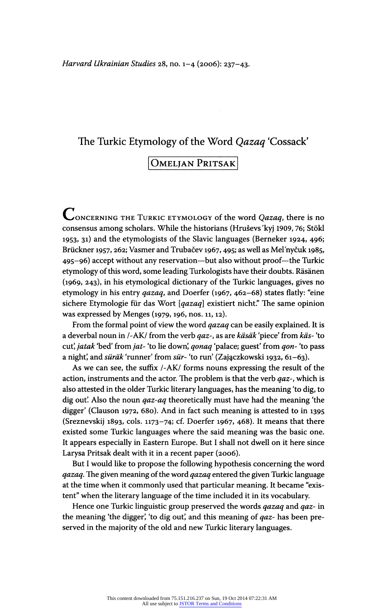### The Turkic Etymology of the Word Qazaq 'Cossack'

# OMELJAN PRITSAK

CONCERNING THE TURKIC ETYMOLOGY of the word  $Qazaq$ , there is no consensus among scholars. While the historians (Hrusevs'kyj 1909, 76; Stökl 1953, 31) and the etymologists of the Slavic languages (Berneker 1924, 496; Brückner 1957, 262; Vasmer and Trubačev 1967, 495; as well as Mel'nyčuk 1985, 495-96) accept without any reservation- but also without proof- the Turkic etymology of this word, some leading Turkologists have their doubts. Räsänen (1969, 243), in his etymological dictionary of the Turkic languages, gives no etymology in his entry qazaq, and Doerfer (1967, 462-68) states flatly: "eine sichere Etymologie für das Wort [qazaq] existiert nicht." The same opinion was expressed by Menges (1979, 196, nos. 11, 12).

From the formal point of view the word *qazaq* can be easily explained. It is a deverbal noun in /-AK/ from the verb qaz-, as are käsäk 'piece' from käs- 'to cut', jatak 'bed' from jat- 'to lie down', qonaq 'palace; guest' from qon- 'to pass a night', and süräk 'runner' from sür- 'to run' (Zajączkowski 1932, 61-63).

As we can see, the suffix /-AK/ forms nouns expressing the result of the action, instruments and the actor. The problem is that the verb  $qaz$ -, which is also attested in the older Turkic literary languages, has the meaning 'to dig, to dig out. Also the noun  $qaz-aq$  theoretically must have had the meaning 'the digger' (Clauson 1972, 680). And in fact such meaning is attested to in 1395 (Sreznevskij 1893, cols. 1173-74; cf. Doerfer 1967, 468). It means that there existed some Turkic languages where the said meaning was the basic one. It appears especially in Eastern Europe. But I shall not dwell on it here since Larysa Pritsak dealt with it in a recent paper (2006).

But I would like to propose the following hypothesis concerning the word qazaq. The given meaning of the word qazaq entered the given Turkic language at the time when it commonly used that particular meaning. It became "existent" when the literary language of the time included it in its vocabulary.

Hence one Turkic linguistic group preserved the words qazaq and qaz- in the meaning 'the digger', 'to dig out', and this meaning of qaz- has been preserved in the majority of the old and new Turkic literary languages.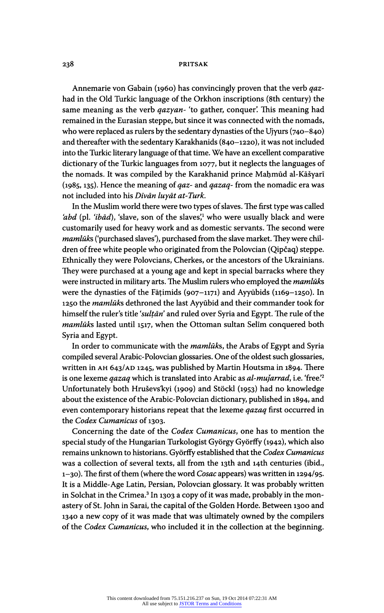#### 238 PRITSAK

Annemarie von Gabain (1960) has convincingly proven that the verb qazhad in the Old Turkic language of the Orkhon inscriptions (8th century) the same meaning as the verb  $qazyan$ - 'to gather, conquer'. This meaning had remained in the Eurasian steppe, but since it was connected with the nomads, who were replaced as rulers by the sedentary dynasties of the Ujyurs (740-840) and thereafter with the sedentary Karakhanids (840-1220), it was not included into the Turkic literary language of that time. We have an excellent comparative dictionary of the Turkic languages from 1077, but it neglects the languages of the nomads. It was compiled by the Karakhanid prince Mahmûd al-Kãsyarí (1985, 135). Hence the meaning of *qaz*- and *qazaq*- from the nomadic era was not included into his Dīvān luyāt at-Turk.

In the Muslim world there were two types of slaves. The first type was called 'abd (pl. 'ibād), 'slave, son of the slaves',<sup>1</sup> who were usually black and were customarily used for heavy work and as domestic servants. The second were mamlūks ('purchased slaves'), purchased from the slave market. They were children of free white people who originated from the Polovcian (Qipčaq) steppe. Ethnically they were Polovcians, Cherkes, or the ancestors of the Ukrainians. They were purchased at a young age and kept in special barracks where they were instructed in military arts. The Muslim rulers who employed the *mamluks* were the dynasties of the Fāṭimids (907-1171) and Ayyūbids (1169-1250). In 1250 the mamlūks dethroned the last Ayyūbid and their commander took for himself the ruler's title 'sultan' and ruled over Syria and Egypt. The rule of the mamlūks lasted until 1517, when the Ottoman sultan Selim conquered both Syria and Egypt.

In order to communicate with the *mamluks*, the Arabs of Egypt and Syria compiled several Arabic-Polovcian glossaries. One of the oldest such glossaries, written in ah 643/AD 1245, was published by Martin Houtsma in 1894. There is one lexeme qazaq which is translated into Arabic as al-mujarrad, i.e. 'free.'<sup>2</sup> Unfortunately both Hruševs'kyi (1909) and Stöckl (1953) had no knowledge about the existence of the Arabic-Polovcian dictionary, published in 1894, and even contemporary historians repeat that the lexeme *qazaq* first occurred in the Codex Cumanicus of 1303.

Concerning the date of the Codex Cumanicus, one has to mention the special study of the Hungarian Turkologist György Györfly (1942), which also remains unknown to historians. Györffy established that the Codex Cumanicus was a collection of several texts, all from the 13th and 14th centuries (ibid., 1-30). The first of them (where the word Cosac appears) was written in 1294/95. It is a Middle- Age Latin, Persian, Polovcian glossary. It was probably written in Solchat in the Crimea.<sup>3</sup> In 1303 a copy of it was made, probably in the monastery of St. John in Sarai, the capital of the Golden Horde. Between 1300 and 1340 a new copy of it was made that was ultimately owned by the compilers of the Codex Cumanicus, who included it in the collection at the beginning.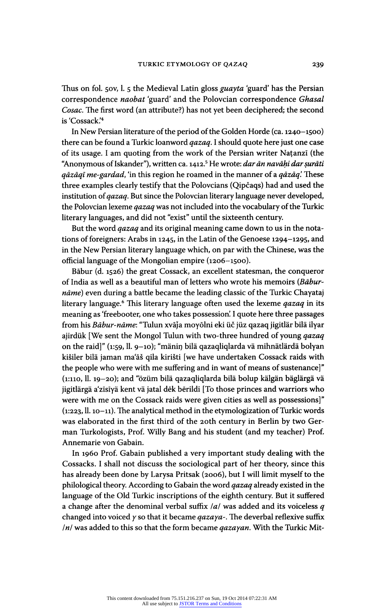Thus on fol. 50v, l. 5 the Medieval Latin gloss *guayta* 'guard' has the Persian correspondence naobat 'guard' and the Polovcian correspondence Ghasal Cosac. The first word (an attribute?) has not yet been deciphered; the second is 'Cossack.'4

In New Persian literature of the period of the Golden Horde (ca. 1240-1500) there can be found a Turkic loanword *qazaq*. I should quote here just one case of its usage. I am quoting from the work of the Persian writer Natanzï (the "Anonymous of Iskander"), written ca. 1412.<sup>5</sup> He wrote: *dar ān navāḥi dar ṣurāti* qāzāqī me-gardad, 'in this region he roamed in the manner of a qāzāq'. These three examples clearly testify that the Polovcians (Qipcaqs) had and used the institution of *qazaq*. But since the Polovcian literary language never developed, the Polovcian lexeme *qazaq* was not included into the vocabulary of the Turkic literary languages, and did not "exist" until the sixteenth century.

But the word *qazaq* and its original meaning came down to us in the notations of foreigners: Arabs in 1245, in the Latin of the Genoese 1294-1295, and in the New Persian literary language which, on par with the Chinese, was the official language of the Mongolian empire (1206-1500).

Bãbur (d. 1526) the great Cossack, an excellent statesman, the conqueror of India as well as a beautiful man of letters who wrote his memoirs (Baburnāme) even during a battle became the leading classic of the Turkic Chayataj literary language.<sup>6</sup> This literary language often used the lexeme *qazaq* in its meaning as 'freebooter, one who takes possession'. I quote here three passages from his Bābur-nāme: "Tulun xvāja moyōlni eki üč jüz qazaq jigitlär bilä ilyar ajirdük [We sent the Mongol Tulun with two-three hundred of young qazaq on the raid]" (1:59, 11. 9-10); "mänin bilä qazaqliqlarda vä mihnätlärdä bolyan kišiler bilä jaman ma'āš qila kirišti [we have undertaken Cossack raids with the people who were with me suffering and in want of means of sustenance]" (1:110, 11. 19-20); and "özüm bilä qazaqliqlarda bilä bolup kälgän bäglärgä vä jigitlärgä a'zïsïya kent vä jatal dék bërildi [To those princes and warriors who were with me on the Cossack raids were given cities as well as possessions]" (1:223, 11. 10-11). The analytical method in the etymologization of Turkic words was elaborated in the first third of the 20th century in Berlin by two German Turkologists, Prof. Willy Bang and his student (and my teacher) Prof. Annemarie von Gabain.

In i960 Prof. Gabain published a very important study dealing with the Cossacks. I shall not discuss the sociological part of her theory, since this has already been done by Larysa Pritsak (2006), but I will limit myself to the philological theory. According to Gabain the word qazaq already existed in the language of the Old Turkic inscriptions of the eighth century. But it suffered a change after the denominal verbal suffix  $|a|$  was added and its voiceless q changed into voiced  $y$  so that it became  $qazaya$ . The deverbal reflexive suffix  $\ln$  was added to this so that the form became *qazayan*. With the Turkic Mit-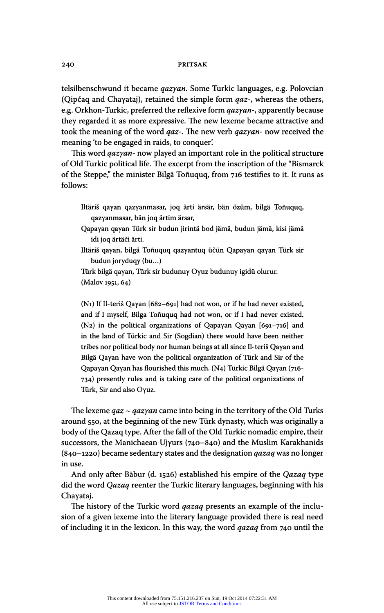#### 24O PRITSAK

telsilbenschwund it became *qazyan*. Some Turkic languages, e.g. Polovcian (Qipčaq and Chayataj), retained the simple form  $qaz$ -, whereas the others, e.g. Orkhon-Turkic, preferred the reflexive form *qazyan-*, apparently because they regarded it as more expressive. The new lexeme became attractive and took the meaning of the word *qaz*-. The new verb *qazyan*- now received the meaning 'to be engaged in raids, to conquer'.

This word *qazyan*- now played an important role in the political structure of Old Turkic political life. The excerpt from the inscription of the "Bismarck of the Steppe," the minister Bilgä Toñuquq, from 716 testifies to it. It runs as follows:

- Iltäris qayan qazyanmasar, joq arti ärsär, bän özüm, bilgä Toñuquq, qazyanmasar, bän joq ärtim ärsar,
- Qapayan qayan Turk sir budun jirintä bod jämä, budun jämä, kisi jämä idi joq ärtäči ärti.
- Iltäris qayan, bilgä Toñuquq qazyantuq ücün Qapayan qayan Turk sir budun joryduqy (bu...)

Türk bilgä qayan, Türk sir budunuy Oyuz budunuy igidü olurur. (Malov 1951, 64)

(Ni) If Il-teris Qayan [682-691] had not won, or if he had never existed, and if I myself, Bilga Toñuquq had not won, or if I had never existed. (N2) in the political organizations of Qapayan Qayan [691-716] and in the land of Türkic and Sir (Sogdian) there would have been neither tribes nor political body nor human beings at all since Il-teris Qayan and Bilgä Qayan have won the political organization of Türk and Sir of the Qapayan Qayan has flourished this much. (N4) Turkic Bilgä Qayan (716- 734) presently rules and is taking care of the political organizations of Türk, Sir and also Oyuz.

The lexeme  $qaz \sim qazyan$  came into being in the territory of the Old Turks around 550, at the beginning of the new Turk dynasty, which was originally a body of the Qazaq type. After the fall of the Old Turkic nomadic empire, their successors, the Manichaean Ujyurs (740-840) and the Muslim Karakhanids (840-1220) became sedentary states and the designation  $qazaq$  was no longer in use.

And only after Bãbur (d. 1526) established his empire of the Qazaq type did the word *Qazaq* reenter the Turkic literary languages, beginning with his Chayataj.

The history of the Turkic word *qazaq* presents an example of the inclusion of a given lexeme into the literary language provided there is real need of including it in the lexicon. In this way, the word *qazaq* from 740 until the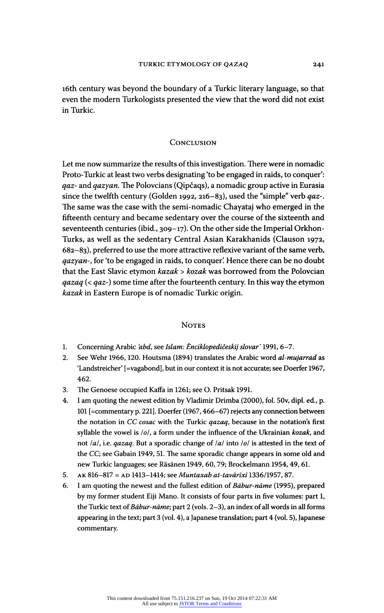16th century was beyond the boundary of a Turkic literary language, so that even the modern Turkologists presented the view that the word did not exist in Turkic.

#### **CONCLUSION**

Let me now summarize the results of this investigation. There were in nomadic Proto-Turkic at least two verbs designating 'to be engaged in raids, to conquer': *gaz-* and *qazyan*. The Polovcians (Qipčaqs), a nomadic group active in Eurasia since the twelfth century (Golden 1992, 216-83), used the "simple" verb qaz-. The same was the case with the semi-nomadic Chayataj who emerged in the fifteenth century and became sedentary over the course of the sixteenth and seventeenth centuries (ibid., 309-17). On the other side the Imperial Orkhon-Turks, as well as the sedentary Central Asian Karakhanids (Clauson 1972,  $682-83$ ), preferred to use the more attractive reflexive variant of the same verb, qazyan-, for 'to be engaged in raids, to conquer'. Hence there can be no doubt that the East Slavic etymon kazak > kozak was borrowed from the Polovcian *qazaq* (< *qaz*-) some time after the fourteenth century. In this way the etymon kazak in Eastern Europe is of nomadic Turkic origin.

#### **NOTES**

- 1. Concerning Arabic 'abd, see Islam: Ènciklopedičeskij slovar' 1991, 6-7.
- 2. See Wehr 1966, 120. Houtsma (1894) translates the Arabic word al-mujarrad as 'Landstreicher' [=vagabond], but in our context it is not accurate; see Doerfer 1967, 462.
- 3. The Genoese occupied Kaffa in 1261; see O. Pritsak 1991.
- 4. I am quoting the newest edition by Vladimir Drimba (2000), fol. 50v, dipi, ed., p. 101 [=commentary p.221]. Doerfer (1967, 466-67) rejects any connection between the notation in CC cosac with the Turkic qazaq, because in the notation's first syllable the vowel is  $\omega$ , a form under the influence of the Ukrainian kozak, and not  $|a|$ , i.e. *qazaq*. But a sporadic change of  $|a|$  into  $|b|$  is attested in the text of the CC; see Gabain 1949, 51. The same sporadic change appears in some old and new Turkic languages; see Räsänen 1949, 60, 79; Brockelmann 1954, 49, 61.
- 5. AK 816-817 = AD 1413-1414; see Muntaxab at-tavārīxī 1336/1957, 87.
- 6. I am quoting the newest and the fullest edition of Bābur-nāme (1995), prepared by my former student Eiji Mano. It consists of four parts in five volumes: part 1, the Turkic text of Bābur-nāme; part 2 (vols. 2-3), an index of all words in all forms appearing in the text; part 3 (vol. 4), a Japanese translation; part 4 (vol. 5), Japanese commentary.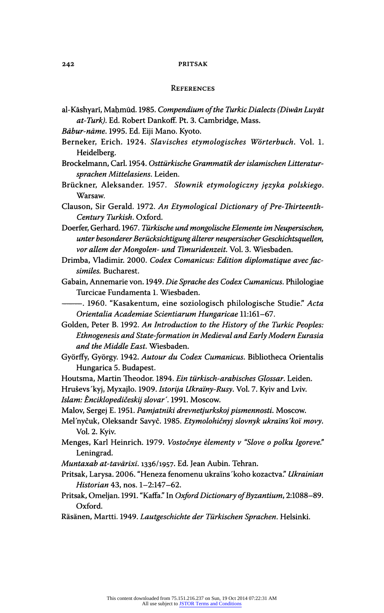#### 242 PRITSAK

#### **REFERENCES**

- al-Kāshyarī, Mahmūd. 1985. Compendium of the Turkic Dialects (Diwān Luyāt at-Turk). Ed. Robert Dankoff. Pt. 3. Cambridge, Mass.
- Bãbur-nãme. 1995. Ed. Eiji Mano. Kyoto.
- Berneker, Erich. 1924. Slavisches etymologisches Wörterbuch. Vol. 1. Heidelberg.
- Brockelmann, Carl. 1954. Osttürkische Grammatik der islamischen Litteratursprachen Mittelasiens. Leiden.
- Brückner, Aleksander. 1957. Slownik etymologiczny jçzyka polskiego. Warsaw.
- Clauson, Sir Gerald. 1972. An Etymological Dictionary of Pre-Thirteenth-Century Turkish. Oxford.
- Doerfer, Gerhard. 1967. Türkische und mongolische Elemente im Neupersischen, unter besonderer Berücksichtigung älterer neupersischer Geschichtsquellen, vor allem der Mongolen- und Timuridenzeit. Vol. 3. Wiesbaden.
- Drimba, Vladimir. 2000. Codex Comanicus: Edition diplomatique avec facsimiles. Bucharest.
- Gabain, Annemarie von. 1949. Die Sprache des Codex Cumanicus. Philologiae Turcicae Fundamenta 1. Wiesbaden.
	- -. 1960. "Kasakentum, eine soziologisch philologische Studie." Acta Orientalia Academiae Scientiarum Hungaricae 11:161-67.
- Golden, Peter B. 1992. An Introduction to the History of the Turkic Peoples: Ethnogenesis and State-formation in Medieval and Early Modern Eurasia and the Middle East. Wiesbaden.
- Györffy, György. 1942. Autour du Codex Cumanicus. Bibliotheca Orientalis Hungarica 5. Budapest.
- Houtsma, Martin Theodor. 1894. Ein türkisch-arabisches Glossar. Leiden.
- Hruševs'kyj, Myxajlo. 1909. Istorija Ukraïny-Rusy. Vol. 7. Kyiv and Lviv. Islam: Ènciklopedičeskij slovar'. 1991. Moscow.
- 
- Malov, Sergej E. 1951. Pamjatniki drevnetjurkskoj pismennosti. Moscow.
- Mel'nyčuk, Oleksandr Savyč. 1985. Etymolohičnyj slovnyk ukraïns' koï movy. Vol. 2. Kyiv.
- Menges, Karl Heinrich. 1979. Vostočnye èlementy v "Slove o polku Igoreve." Leningrad.
- Muntaxab at-tavārīxī. 1336/1957. Ed. Jean Aubin. Tehran.
- Pritsak, Larysa. 2006. "Heneza fenomenu ukraïns 'koho kozactva." Ukrainian Historian 43, nos. 1-2:147-62.
- Pritsak, Omeljan. 1991. "Kaffa." In Oxford Dictionary of Byzantium, 2:1088-89. Oxford.
- Räsänen, Martti. 1949. Lautgeschichte der Türkischen Sprachen. Helsinki.